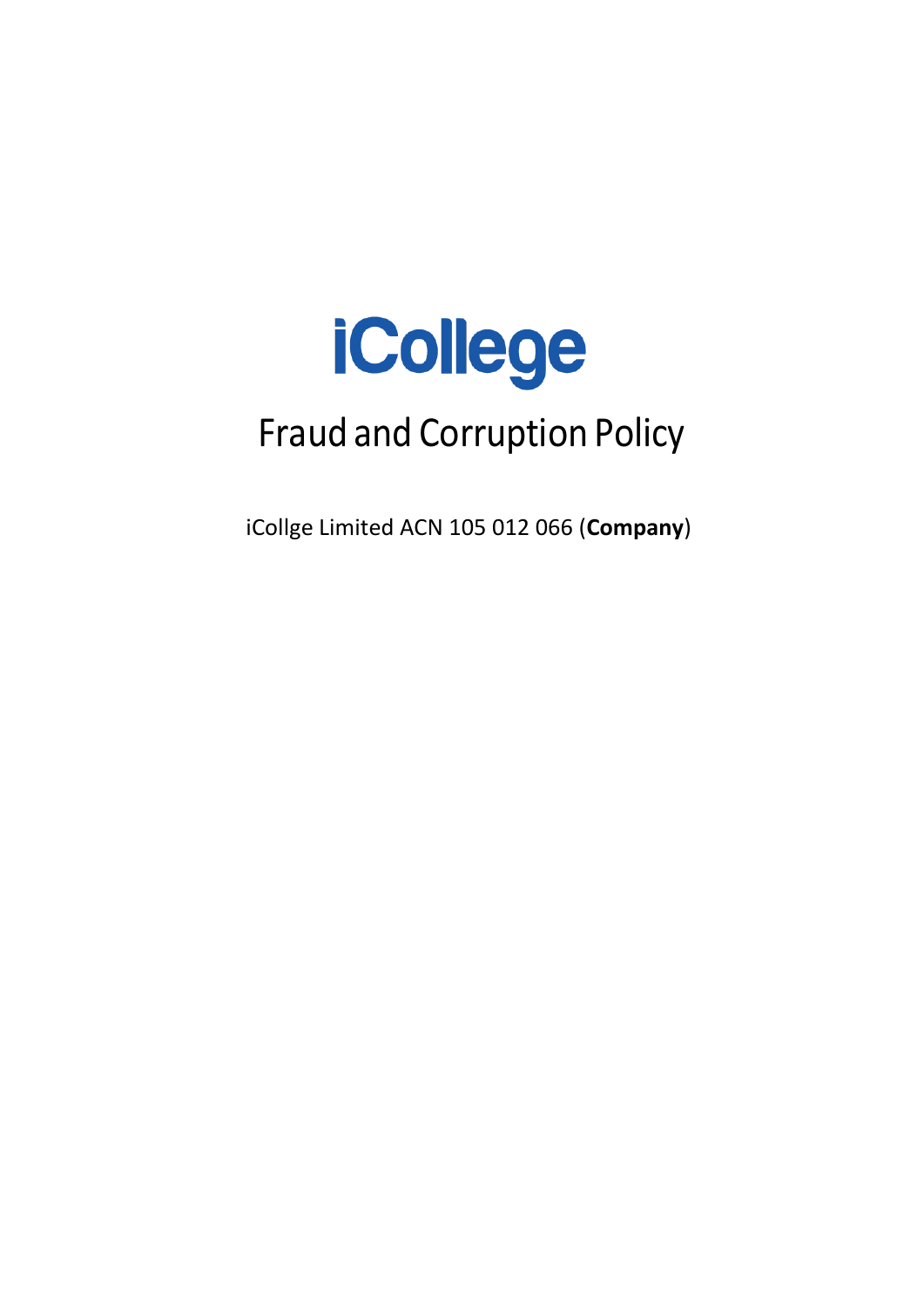

# Fraud and Corruption Policy

iCollge Limited ACN 105 012 066 (**Company**)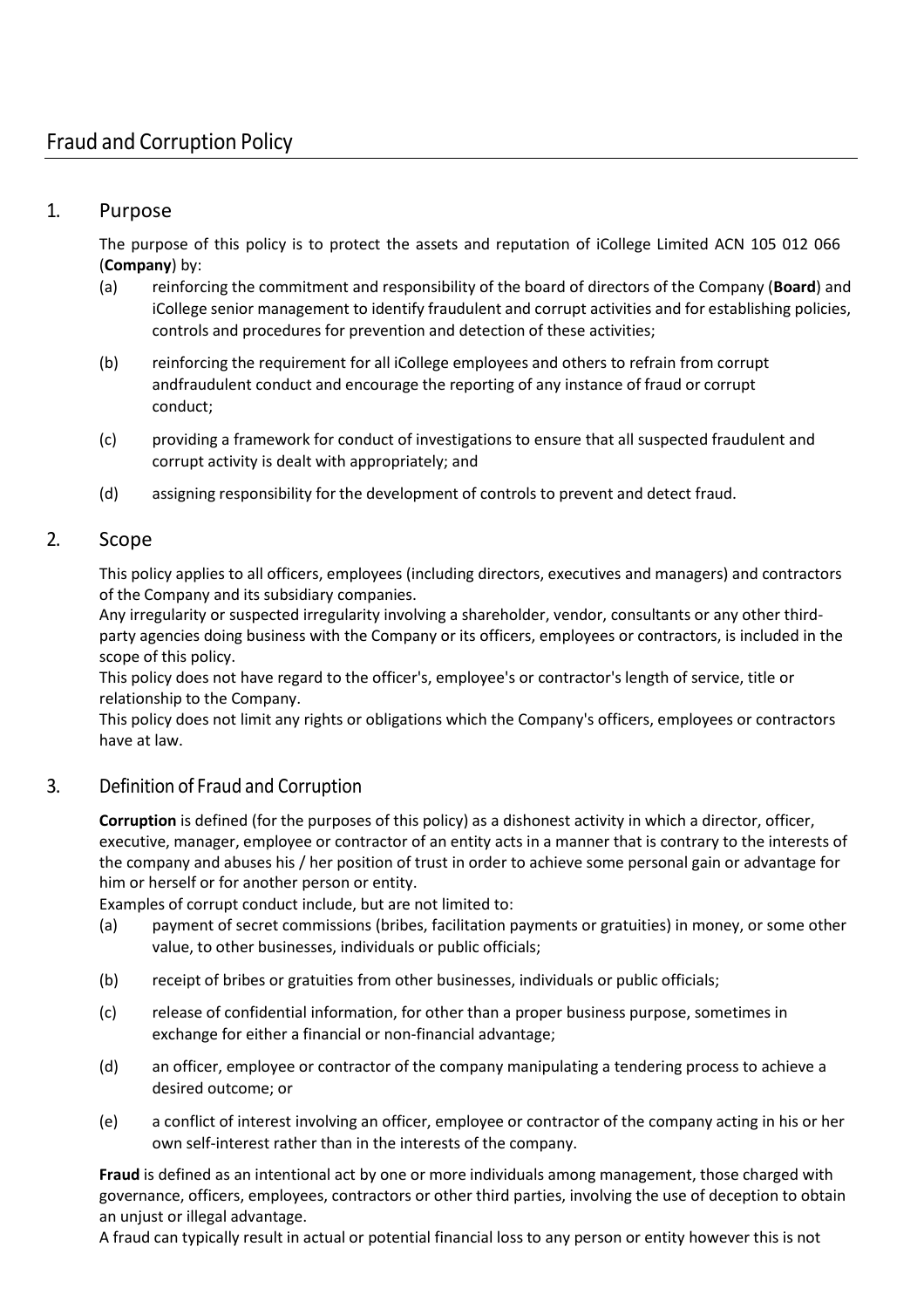# 1. Purpose

The purpose of this policy is to protect the assets and reputation of iCollege Limited ACN 105 012 066 (**Company**) by:

- (a) reinforcing the commitment and responsibility of the board of directors of the Company (**Board**) and iCollege senior management to identify fraudulent and corrupt activities and for establishing policies, controls and procedures for prevention and detection of these activities;
- (b) reinforcing the requirement for all iCollege employees and others to refrain from corrupt andfraudulent conduct and encourage the reporting of any instance of fraud or corrupt conduct;
- (c) providing a framework for conduct of investigations to ensure that all suspected fraudulent and corrupt activity is dealt with appropriately; and
- (d) assigning responsibility for the development of controls to prevent and detect fraud.

# 2. Scope

This policy applies to all officers, employees (including directors, executives and managers) and contractors of the Company and its subsidiary companies.

Any irregularity or suspected irregularity involving a shareholder, vendor, consultants or any other thirdparty agencies doing business with the Company or its officers, employees or contractors, is included in the scope of this policy.

This policy does not have regard to the officer's, employee's or contractor's length of service, title or relationship to the Company.

This policy does not limit any rights or obligations which the Company's officers, employees or contractors have at law.

# 3. Definition of Fraud and Corruption

**Corruption** is defined (for the purposes of this policy) as a dishonest activity in which a director, officer, executive, manager, employee or contractor of an entity acts in a manner that is contrary to the interests of the company and abuses his / her position of trust in order to achieve some personal gain or advantage for him or herself or for another person or entity.

Examples of corrupt conduct include, but are not limited to:

- (a) payment of secret commissions (bribes, facilitation payments or gratuities) in money, or some other value, to other businesses, individuals or public officials;
- (b) receipt of bribes or gratuities from other businesses, individuals or public officials;
- (c) release of confidential information, for other than a proper business purpose, sometimes in exchange for either a financial or non-financial advantage;
- (d) an officer, employee or contractor of the company manipulating a tendering process to achieve a desired outcome; or
- (e) a conflict of interest involving an officer, employee or contractor of the company acting in his or her own self-interest rather than in the interests of the company.

**Fraud** is defined as an intentional act by one or more individuals among management, those charged with governance, officers, employees, contractors or other third parties, involving the use of deception to obtain an unjust or illegal advantage.

A fraud can typically result in actual or potential financial loss to any person or entity however this is not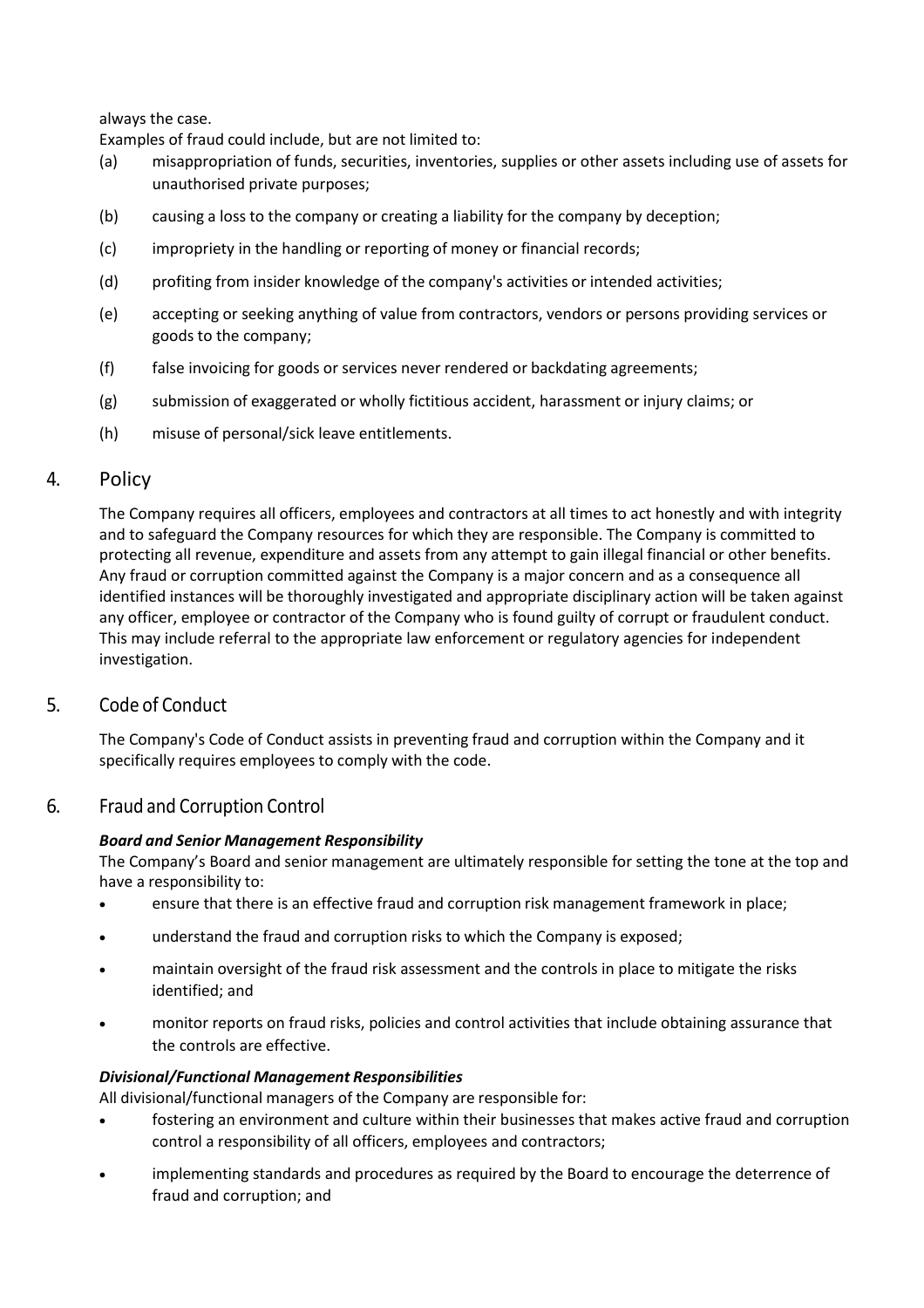always the case.

Examples of fraud could include, but are not limited to:

- (a) misappropriation of funds, securities, inventories, supplies or other assets including use of assets for unauthorised private purposes;
- (b) causing a loss to the company or creating a liability for the company by deception;
- (c) impropriety in the handling or reporting of money or financial records;
- (d) profiting from insider knowledge of the company's activities or intended activities;
- (e) accepting or seeking anything of value from contractors, vendors or persons providing services or goods to the company;
- (f) false invoicing for goods or services never rendered or backdating agreements;
- (g) submission of exaggerated or wholly fictitious accident, harassment or injury claims; or
- (h) misuse of personal/sick leave entitlements.

## 4. Policy

The Company requires all officers, employees and contractors at all times to act honestly and with integrity and to safeguard the Company resources for which they are responsible. The Company is committed to protecting all revenue, expenditure and assets from any attempt to gain illegal financial or other benefits. Any fraud or corruption committed against the Company is a major concern and as a consequence all identified instances will be thoroughly investigated and appropriate disciplinary action will be taken against any officer, employee or contractor of the Company who is found guilty of corrupt or fraudulent conduct. This may include referral to the appropriate law enforcement or regulatory agencies for independent investigation.

#### 5. Code of Conduct

The Company's Code of Conduct assists in preventing fraud and corruption within the Company and it specifically requires employees to comply with the code.

#### 6. Fraud and Corruption Control

#### *Board and Senior Management Responsibility*

The Company's Board and senior management are ultimately responsible for setting the tone at the top and have a responsibility to:

- ensure that there is an effective fraud and corruption risk management framework in place;
- understand the fraud and corruption risks to which the Company is exposed;
- maintain oversight of the fraud risk assessment and the controls in place to mitigate the risks identified; and
- monitor reports on fraud risks, policies and control activities that include obtaining assurance that the controls are effective.

#### *Divisional/Functional Management Responsibilities*

All divisional/functional managers of the Company are responsible for:

- fostering an environment and culture within their businesses that makes active fraud and corruption control a responsibility of all officers, employees and contractors;
- implementing standards and procedures as required by the Board to encourage the deterrence of fraud and corruption; and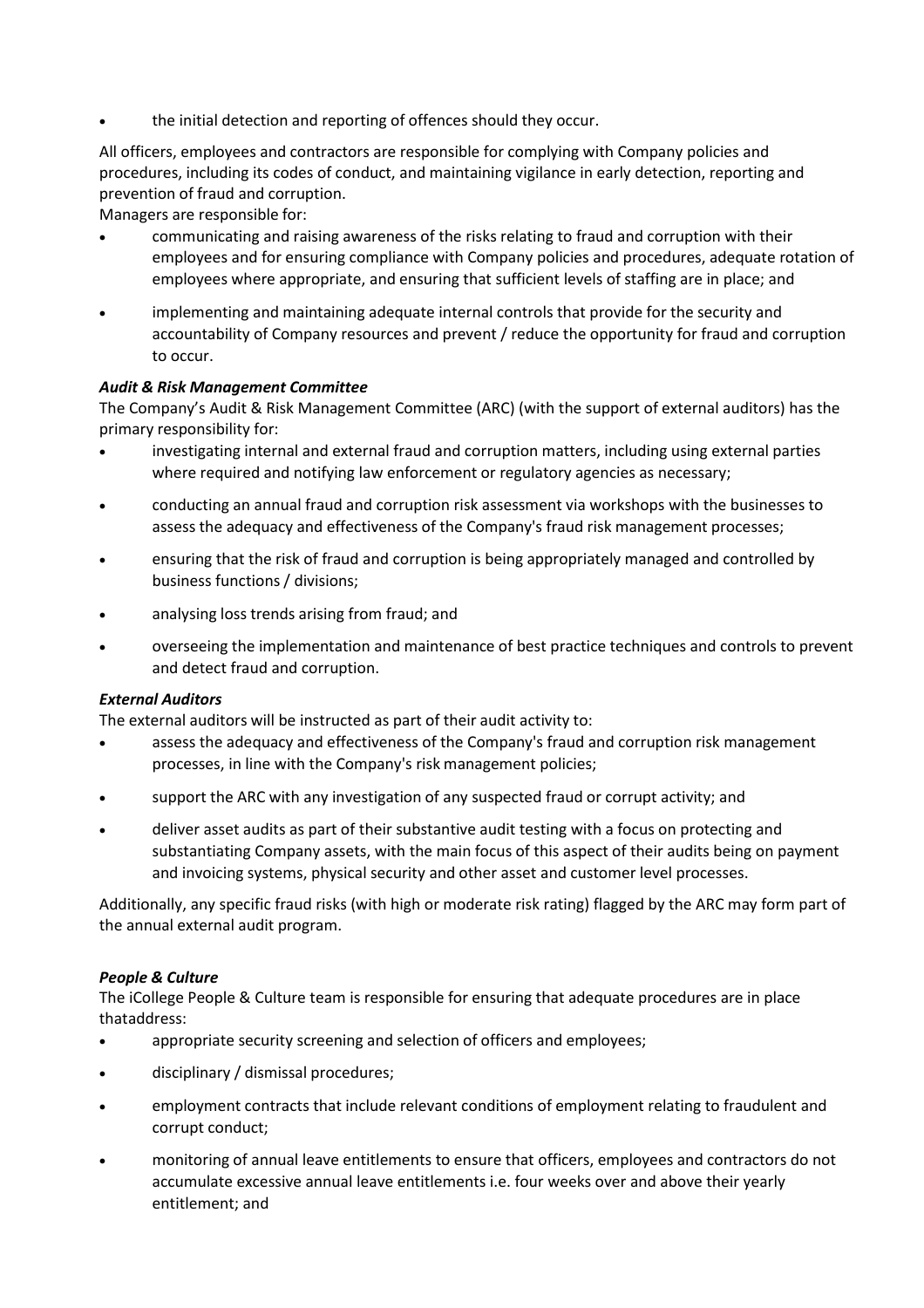the initial detection and reporting of offences should they occur.

All officers, employees and contractors are responsible for complying with Company policies and procedures, including its codes of conduct, and maintaining vigilance in early detection, reporting and prevention of fraud and corruption.

Managers are responsible for:

- communicating and raising awareness of the risks relating to fraud and corruption with their employees and for ensuring compliance with Company policies and procedures, adequate rotation of employees where appropriate, and ensuring that sufficient levels of staffing are in place; and
- implementing and maintaining adequate internal controls that provide for the security and accountability of Company resources and prevent / reduce the opportunity for fraud and corruption to occur.

#### *Audit & Risk Management Committee*

The Company's Audit & Risk Management Committee (ARC) (with the support of external auditors) has the primary responsibility for:

- investigating internal and external fraud and corruption matters, including using external parties where required and notifying law enforcement or regulatory agencies as necessary;
- conducting an annual fraud and corruption risk assessment via workshops with the businesses to assess the adequacy and effectiveness of the Company's fraud risk management processes;
- ensuring that the risk of fraud and corruption is being appropriately managed and controlled by business functions / divisions;
- analysing loss trends arising from fraud; and
- overseeing the implementation and maintenance of best practice techniques and controls to prevent and detect fraud and corruption.

#### *External Auditors*

The external auditors will be instructed as part of their audit activity to:

- assess the adequacy and effectiveness of the Company's fraud and corruption risk management processes, in line with the Company's risk management policies;
- support the ARC with any investigation of any suspected fraud or corrupt activity; and
- deliver asset audits as part of their substantive audit testing with a focus on protecting and substantiating Company assets, with the main focus of this aspect of their audits being on payment and invoicing systems, physical security and other asset and customer level processes.

Additionally, any specific fraud risks (with high or moderate risk rating) flagged by the ARC may form part of the annual external audit program.

#### *People & Culture*

The iCollege People & Culture team is responsible for ensuring that adequate procedures are in place thataddress:

- appropriate security screening and selection of officers and employees;
- disciplinary / dismissal procedures;
- employment contracts that include relevant conditions of employment relating to fraudulent and corrupt conduct;
- monitoring of annual leave entitlements to ensure that officers, employees and contractors do not accumulate excessive annual leave entitlements i.e. four weeks over and above their yearly entitlement; and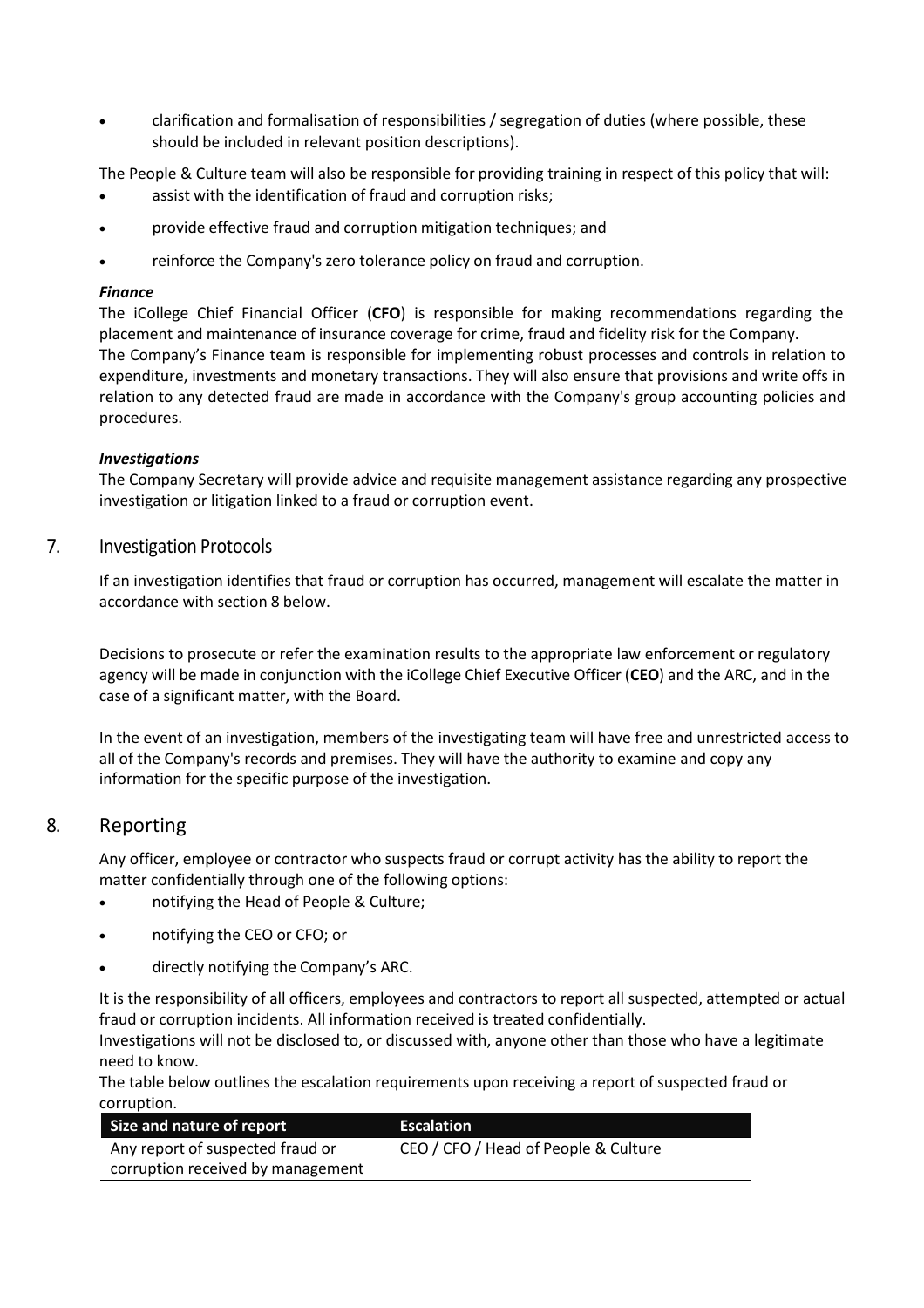• clarification and formalisation of responsibilities / segregation of duties (where possible, these should be included in relevant position descriptions).

The People & Culture team will also be responsible for providing training in respect of this policy that will:

- assist with the identification of fraud and corruption risks;
- provide effective fraud and corruption mitigation techniques; and
- reinforce the Company's zero tolerance policy on fraud and corruption.

#### *Finance*

The iCollege Chief Financial Officer (**CFO**) is responsible for making recommendations regarding the placement and maintenance of insurance coverage for crime, fraud and fidelity risk for the Company. The Company's Finance team is responsible for implementing robust processes and controls in relation to expenditure, investments and monetary transactions. They will also ensure that provisions and write offs in relation to any detected fraud are made in accordance with the Company's group accounting policies and procedures.

#### *Investigations*

The Company Secretary will provide advice and requisite management assistance regarding any prospective investigation or litigation linked to a fraud or corruption event.

#### 7. Investigation Protocols

If an investigation identifies that fraud or corruption has occurred, management will escalate the matter in accordance with section [8](#page-4-0) below.

Decisions to prosecute or refer the examination results to the appropriate law enforcement or regulatory agency will be made in conjunction with the iCollege Chief Executive Officer (**CEO**) and the ARC, and in the case of a significant matter, with the Board.

In the event of an investigation, members of the investigating team will have free and unrestricted access to all of the Company's records and premises. They will have the authority to examine and copy any information for the specific purpose of the investigation.

## <span id="page-4-0"></span>8. Reporting

Any officer, employee or contractor who suspects fraud or corrupt activity has the ability to report the matter confidentially through one of the following options:

- notifying the Head of People & Culture;
- notifying the CEO or CFO; or
- directly notifying the Company's ARC.

It is the responsibility of all officers, employees and contractors to report all suspected, attempted or actual fraud or corruption incidents. All information received is treated confidentially.

Investigations will not be disclosed to, or discussed with, anyone other than those who have a legitimate need to know.

The table below outlines the escalation requirements upon receiving a report of suspected fraud or corruption.

| Size and nature of report         | <b>Escalation</b>                    |
|-----------------------------------|--------------------------------------|
| Any report of suspected fraud or  | CEO / CFO / Head of People & Culture |
| corruption received by management |                                      |